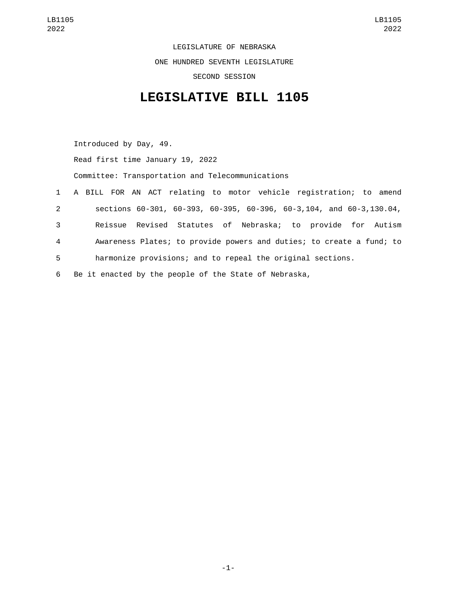LEGISLATURE OF NEBRASKA ONE HUNDRED SEVENTH LEGISLATURE SECOND SESSION

## **LEGISLATIVE BILL 1105**

Introduced by Day, 49. Read first time January 19, 2022 Committee: Transportation and Telecommunications A BILL FOR AN ACT relating to motor vehicle registration; to amend sections 60-301, 60-393, 60-395, 60-396, 60-3,104, and 60-3,130.04, Reissue Revised Statutes of Nebraska; to provide for Autism Awareness Plates; to provide powers and duties; to create a fund; to harmonize provisions; and to repeal the original sections.

6 Be it enacted by the people of the State of Nebraska,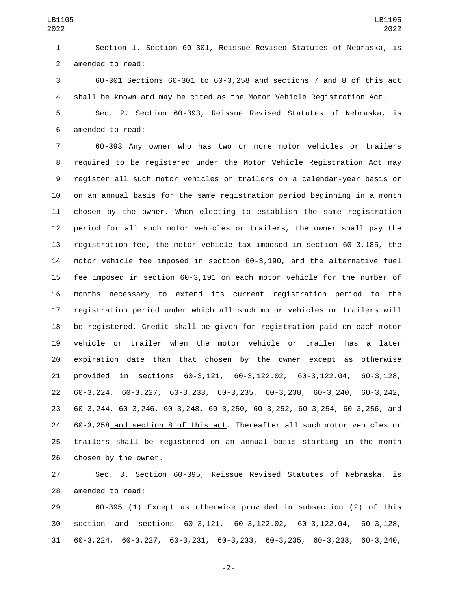Section 1. Section 60-301, Reissue Revised Statutes of Nebraska, is 2 amended to read:

 60-301 Sections 60-301 to 60-3,258 and sections 7 and 8 of this act shall be known and may be cited as the Motor Vehicle Registration Act.

 Sec. 2. Section 60-393, Reissue Revised Statutes of Nebraska, is 6 amended to read:

 60-393 Any owner who has two or more motor vehicles or trailers required to be registered under the Motor Vehicle Registration Act may register all such motor vehicles or trailers on a calendar-year basis or on an annual basis for the same registration period beginning in a month chosen by the owner. When electing to establish the same registration period for all such motor vehicles or trailers, the owner shall pay the registration fee, the motor vehicle tax imposed in section 60-3,185, the motor vehicle fee imposed in section 60-3,190, and the alternative fuel fee imposed in section 60-3,191 on each motor vehicle for the number of months necessary to extend its current registration period to the registration period under which all such motor vehicles or trailers will be registered. Credit shall be given for registration paid on each motor vehicle or trailer when the motor vehicle or trailer has a later expiration date than that chosen by the owner except as otherwise provided in sections 60-3,121, 60-3,122.02, 60-3,122.04, 60-3,128, 60-3,224, 60-3,227, 60-3,233, 60-3,235, 60-3,238, 60-3,240, 60-3,242, 60-3,244, 60-3,246, 60-3,248, 60-3,250, 60-3,252, 60-3,254, 60-3,256, and 60-3,258 and section 8 of this act. Thereafter all such motor vehicles or trailers shall be registered on an annual basis starting in the month 26 chosen by the owner.

 Sec. 3. Section 60-395, Reissue Revised Statutes of Nebraska, is 28 amended to read:

 60-395 (1) Except as otherwise provided in subsection (2) of this section and sections 60-3,121, 60-3,122.02, 60-3,122.04, 60-3,128, 60-3,224, 60-3,227, 60-3,231, 60-3,233, 60-3,235, 60-3,238, 60-3,240,

-2-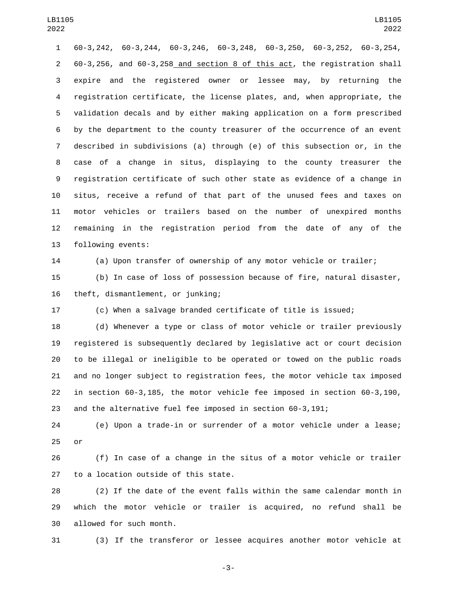60-3,242, 60-3,244, 60-3,246, 60-3,248, 60-3,250, 60-3,252, 60-3,254, 60-3,256, and 60-3,258 and section 8 of this act, the registration shall expire and the registered owner or lessee may, by returning the registration certificate, the license plates, and, when appropriate, the validation decals and by either making application on a form prescribed by the department to the county treasurer of the occurrence of an event described in subdivisions (a) through (e) of this subsection or, in the case of a change in situs, displaying to the county treasurer the registration certificate of such other state as evidence of a change in situs, receive a refund of that part of the unused fees and taxes on motor vehicles or trailers based on the number of unexpired months remaining in the registration period from the date of any of the 13 following events:

(a) Upon transfer of ownership of any motor vehicle or trailer;

 (b) In case of loss of possession because of fire, natural disaster, 16 theft, dismantlement, or junking;

(c) When a salvage branded certificate of title is issued;

 (d) Whenever a type or class of motor vehicle or trailer previously registered is subsequently declared by legislative act or court decision to be illegal or ineligible to be operated or towed on the public roads and no longer subject to registration fees, the motor vehicle tax imposed in section 60-3,185, the motor vehicle fee imposed in section 60-3,190, and the alternative fuel fee imposed in section 60-3,191;

 (e) Upon a trade-in or surrender of a motor vehicle under a lease; or

 (f) In case of a change in the situs of a motor vehicle or trailer 27 to a location outside of this state.

 (2) If the date of the event falls within the same calendar month in which the motor vehicle or trailer is acquired, no refund shall be 30 allowed for such month.

(3) If the transferor or lessee acquires another motor vehicle at

-3-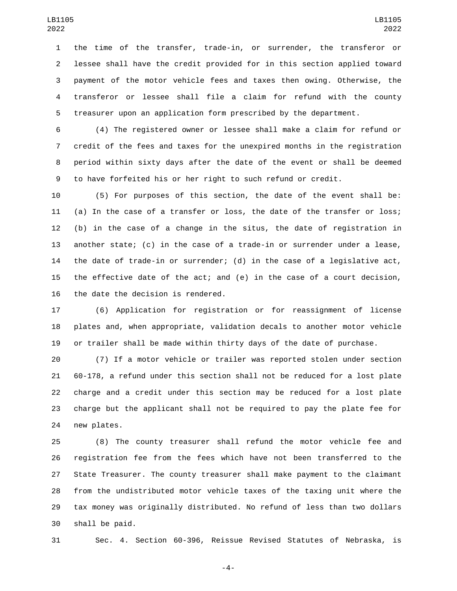the time of the transfer, trade-in, or surrender, the transferor or lessee shall have the credit provided for in this section applied toward payment of the motor vehicle fees and taxes then owing. Otherwise, the transferor or lessee shall file a claim for refund with the county treasurer upon an application form prescribed by the department.

 (4) The registered owner or lessee shall make a claim for refund or credit of the fees and taxes for the unexpired months in the registration period within sixty days after the date of the event or shall be deemed to have forfeited his or her right to such refund or credit.

 (5) For purposes of this section, the date of the event shall be: (a) In the case of a transfer or loss, the date of the transfer or loss; (b) in the case of a change in the situs, the date of registration in another state; (c) in the case of a trade-in or surrender under a lease, the date of trade-in or surrender; (d) in the case of a legislative act, the effective date of the act; and (e) in the case of a court decision, 16 the date the decision is rendered.

 (6) Application for registration or for reassignment of license plates and, when appropriate, validation decals to another motor vehicle or trailer shall be made within thirty days of the date of purchase.

 (7) If a motor vehicle or trailer was reported stolen under section 60-178, a refund under this section shall not be reduced for a lost plate charge and a credit under this section may be reduced for a lost plate charge but the applicant shall not be required to pay the plate fee for 24 new plates.

 (8) The county treasurer shall refund the motor vehicle fee and registration fee from the fees which have not been transferred to the State Treasurer. The county treasurer shall make payment to the claimant from the undistributed motor vehicle taxes of the taxing unit where the tax money was originally distributed. No refund of less than two dollars 30 shall be paid.

Sec. 4. Section 60-396, Reissue Revised Statutes of Nebraska, is

-4-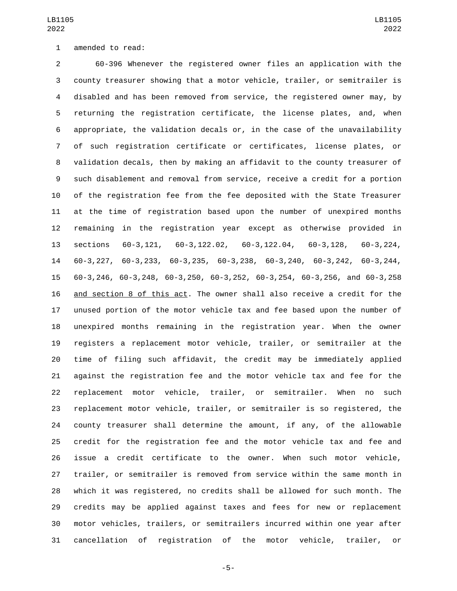1 amended to read:

 60-396 Whenever the registered owner files an application with the county treasurer showing that a motor vehicle, trailer, or semitrailer is disabled and has been removed from service, the registered owner may, by returning the registration certificate, the license plates, and, when appropriate, the validation decals or, in the case of the unavailability of such registration certificate or certificates, license plates, or validation decals, then by making an affidavit to the county treasurer of such disablement and removal from service, receive a credit for a portion of the registration fee from the fee deposited with the State Treasurer at the time of registration based upon the number of unexpired months remaining in the registration year except as otherwise provided in sections 60-3,121, 60-3,122.02, 60-3,122.04, 60-3,128, 60-3,224, 60-3,227, 60-3,233, 60-3,235, 60-3,238, 60-3,240, 60-3,242, 60-3,244, 60-3,246, 60-3,248, 60-3,250, 60-3,252, 60-3,254, 60-3,256, and 60-3,258 and section 8 of this act. The owner shall also receive a credit for the unused portion of the motor vehicle tax and fee based upon the number of unexpired months remaining in the registration year. When the owner registers a replacement motor vehicle, trailer, or semitrailer at the time of filing such affidavit, the credit may be immediately applied against the registration fee and the motor vehicle tax and fee for the replacement motor vehicle, trailer, or semitrailer. When no such replacement motor vehicle, trailer, or semitrailer is so registered, the county treasurer shall determine the amount, if any, of the allowable credit for the registration fee and the motor vehicle tax and fee and issue a credit certificate to the owner. When such motor vehicle, trailer, or semitrailer is removed from service within the same month in which it was registered, no credits shall be allowed for such month. The credits may be applied against taxes and fees for new or replacement motor vehicles, trailers, or semitrailers incurred within one year after cancellation of registration of the motor vehicle, trailer, or

-5-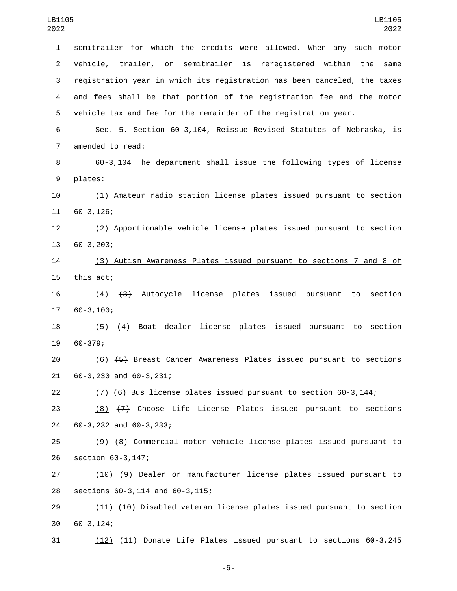1 semitrailer for which the credits were allowed. When any such motor 2 vehicle, trailer, or semitrailer is reregistered within the same 3 registration year in which its registration has been canceled, the taxes 4 and fees shall be that portion of the registration fee and the motor 5 vehicle tax and fee for the remainder of the registration year. 6 Sec. 5. Section 60-3,104, Reissue Revised Statutes of Nebraska, is 7 amended to read: 8 60-3,104 The department shall issue the following types of license 9 plates: 10 (1) Amateur radio station license plates issued pursuant to section 11 60-3,126; 12 (2) Apportionable vehicle license plates issued pursuant to section 13 60-3,203; 14 (3) Autism Awareness Plates issued pursuant to sections 7 and 8 of 15 this act; 16 (4) (3) Autocycle license plates issued pursuant to section  $1760-3,100;$ 18 (5) (4) Boat dealer license plates issued pursuant to section 19 60-379; 20 (6) (5) Breast Cancer Awareness Plates issued pursuant to sections 21 60-3,230 and 60-3,231; 22  $(7)$   $(6)$  Bus license plates issued pursuant to section 60-3,144; 23 (8) (7) Choose Life License Plates issued pursuant to sections 60-3,232 and 60-3,233;24 25 (9) (8) Commercial motor vehicle license plates issued pursuant to 26 section 60-3,147; 27 (10) (9) Dealer or manufacturer license plates issued pursuant to sections 60-3,114 and 60-3,115;28 29 (11) (10) Disabled veteran license plates issued pursuant to section 60-3,124;30

-6-

31 (12) (11) Donate Life Plates issued pursuant to sections 60-3,245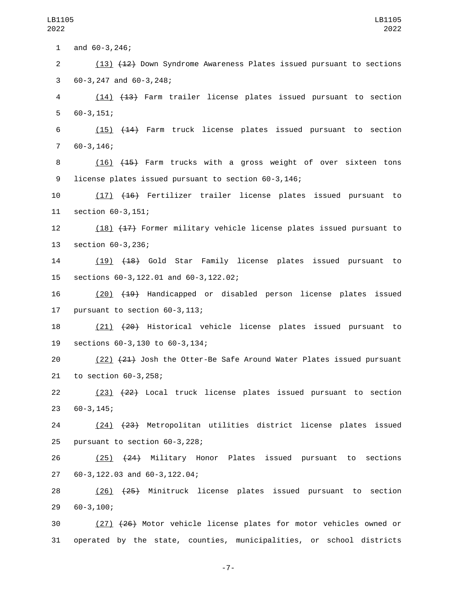1 and  $60-3,246$ ;

2 (13) (12) Down Syndrome Awareness Plates issued pursuant to sections  $60-3,247$  and  $60-3,248$ ;

4 (14) (13) Farm trailer license plates issued pursuant to section  $560-3,151;$ 

6 (15) (14) Farm truck license plates issued pursuant to section  $760-3,146;$ 

8 (16) <del>(15)</del> Farm trucks with a gross weight of over sixteen tons 9 license plates issued pursuant to section 60-3,146;

10 (17) (16) Fertilizer trailer license plates issued pursuant to 11 section 60-3,151;

12 (18) (17) Former military vehicle license plates issued pursuant to 13 section 60-3,236;

14 (19) (18) Gold Star Family license plates issued pursuant to 15 sections 60-3,122.01 and 60-3,122.02;

16 (20) (19) Handicapped or disabled person license plates issued 17 pursuant to section  $60-3,113$ ;

18 (21) (20) Historical vehicle license plates issued pursuant to 19 sections 60-3,130 to 60-3,134;

20 (22) (21) Josh the Otter-Be Safe Around Water Plates issued pursuant 21 to section 60-3,258;

22 (23) (22) Local truck license plates issued pursuant to section 60-3,145;23

24 (24) (23) Metropolitan utilities district license plates issued 25 pursuant to section  $60-3,228$ ;

26 (25) (24) Military Honor Plates issued pursuant to sections 60-3,122.03 and 60-3,122.04;27

28 (26) (25) Minitruck license plates issued pursuant to section 60-3,100;29

30 (27) (26) Motor vehicle license plates for motor vehicles owned or 31 operated by the state, counties, municipalities, or school districts

-7-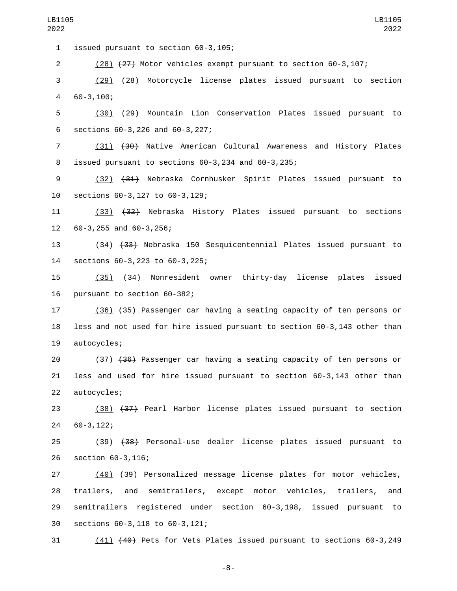1 issued pursuant to section 60-3,105;

2 (28) (27) Motor vehicles exempt pursuant to section 60-3,107;

3 (29) (28) Motorcycle license plates issued pursuant to section  $460-3,100;$ 

5 (30) (29) Mountain Lion Conservation Plates issued pursuant to 6 sections  $60-3,226$  and  $60-3,227$ ;

7 (31) (30) Native American Cultural Awareness and History Plates 8 issued pursuant to sections  $60-3,234$  and  $60-3,235$ ;

9 (32) (31) Nebraska Cornhusker Spirit Plates issued pursuant to 10 sections 60-3,127 to 60-3,129;

11 (33) (32) Nebraska History Plates issued pursuant to sections 60-3,255 and 60-3,256;12

13 (34) (33) Nebraska 150 Sesquicentennial Plates issued pursuant to sections 60-3,223 to 60-3,225;14

15 (35) (34) Nonresident owner thirty-day license plates issued 16 pursuant to section 60-382;

17 (36) (35) Passenger car having a seating capacity of ten persons or 18 less and not used for hire issued pursuant to section 60-3,143 other than 19 autocycles;

20 (37) (36) Passenger car having a seating capacity of ten persons or 21 less and used for hire issued pursuant to section 60-3,143 other than 22 autocycles;

23 (38) (37) Pearl Harbor license plates issued pursuant to section 60-3,122;24

25 (39) (38) Personal-use dealer license plates issued pursuant to 26 section 60-3,116;

 (40) (39) Personalized message license plates for motor vehicles, trailers, and semitrailers, except motor vehicles, trailers, and semitrailers registered under section 60-3,198, issued pursuant to sections 60-3,118 to 60-3,121;30

31 (41) (40) Pets for Vets Plates issued pursuant to sections 60-3,249

-8-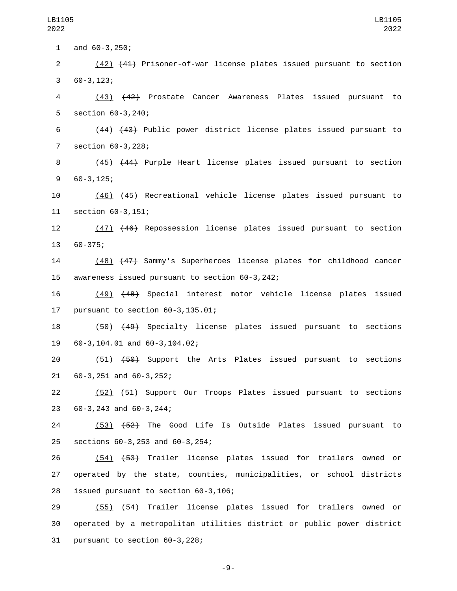1 and  $60-3,250$ ;

2 (42) (41) Prisoner-of-war license plates issued pursuant to section  $360-3,123;$ 

4 (43) (42) Prostate Cancer Awareness Plates issued pursuant to 5 section 60-3,240;

6 (44) (43) Public power district license plates issued pursuant to 7 section 60-3,228;

8 (45) (44) Purple Heart license plates issued pursuant to section  $960-3,125;$ 

10 (46) (45) Recreational vehicle license plates issued pursuant to 11 section 60-3,151;

12 (47) (46) Repossession license plates issued pursuant to section 13 60-375;

14 (48) (47) Sammy's Superheroes license plates for childhood cancer 15 awareness issued pursuant to section 60-3,242;

16 (49) (48) Special interest motor vehicle license plates issued 17 pursuant to section  $60-3, 135.01$ ;

18 (50) (49) Specialty license plates issued pursuant to sections 60-3,104.01 and 60-3,104.02;19

20 (51) (50) Support the Arts Plates issued pursuant to sections 21 60-3, 251 and 60-3, 252;

22 (52) (51) Support Our Troops Plates issued pursuant to sections 23 60-3, 243 and 60-3, 244;

24 (53) (52) The Good Life Is Outside Plates issued pursuant to sections 60-3,253 and 60-3,254;25

26 (54) (53) Trailer license plates issued for trailers owned or 27 operated by the state, counties, municipalities, or school districts 28 issued pursuant to section 60-3,106;

29 (55) (54) Trailer license plates issued for trailers owned or 30 operated by a metropolitan utilities district or public power district  $31$  pursuant to section  $60-3,228$ ;

-9-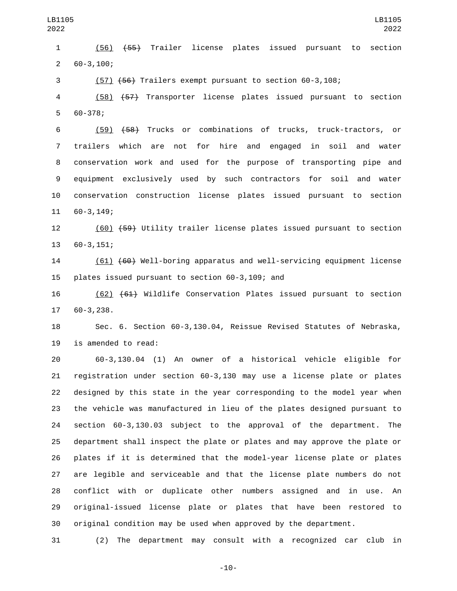(56) (55) Trailer license plates issued pursuant to section  $260-3,100;$ 

(57) (56) Trailers exempt pursuant to section 60-3,108;

 (58) (57) Transporter license plates issued pursuant to section 5 60-378;

 (59) (58) Trucks or combinations of trucks, truck-tractors, or trailers which are not for hire and engaged in soil and water conservation work and used for the purpose of transporting pipe and equipment exclusively used by such contractors for soil and water conservation construction license plates issued pursuant to section 11 60-3,149;

 (60) (59) Utility trailer license plates issued pursuant to section 13 60-3,151;

 (61) (60) Well-boring apparatus and well-servicing equipment license 15 plates issued pursuant to section 60-3,109; and

 (62) (61) Wildlife Conservation Plates issued pursuant to section 17 60-3,238.

 Sec. 6. Section 60-3,130.04, Reissue Revised Statutes of Nebraska, 19 is amended to read:

 60-3,130.04 (1) An owner of a historical vehicle eligible for registration under section 60-3,130 may use a license plate or plates designed by this state in the year corresponding to the model year when the vehicle was manufactured in lieu of the plates designed pursuant to section 60-3,130.03 subject to the approval of the department. The department shall inspect the plate or plates and may approve the plate or plates if it is determined that the model-year license plate or plates are legible and serviceable and that the license plate numbers do not conflict with or duplicate other numbers assigned and in use. An original-issued license plate or plates that have been restored to original condition may be used when approved by the department.

(2) The department may consult with a recognized car club in

-10-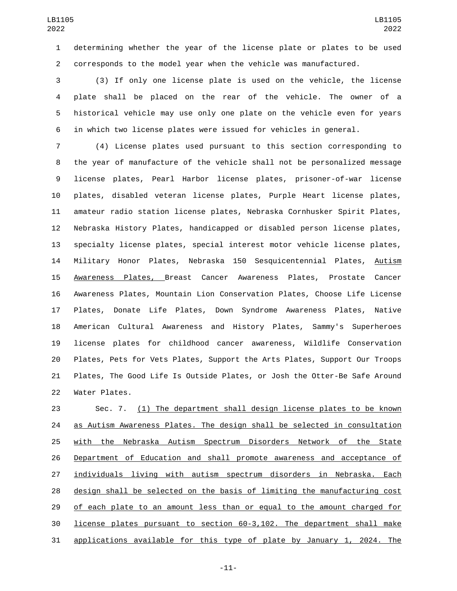determining whether the year of the license plate or plates to be used corresponds to the model year when the vehicle was manufactured.

 (3) If only one license plate is used on the vehicle, the license plate shall be placed on the rear of the vehicle. The owner of a historical vehicle may use only one plate on the vehicle even for years in which two license plates were issued for vehicles in general.

 (4) License plates used pursuant to this section corresponding to the year of manufacture of the vehicle shall not be personalized message license plates, Pearl Harbor license plates, prisoner-of-war license plates, disabled veteran license plates, Purple Heart license plates, amateur radio station license plates, Nebraska Cornhusker Spirit Plates, Nebraska History Plates, handicapped or disabled person license plates, specialty license plates, special interest motor vehicle license plates, Military Honor Plates, Nebraska 150 Sesquicentennial Plates, Autism Awareness Plates, Breast Cancer Awareness Plates, Prostate Cancer Awareness Plates, Mountain Lion Conservation Plates, Choose Life License Plates, Donate Life Plates, Down Syndrome Awareness Plates, Native American Cultural Awareness and History Plates, Sammy's Superheroes license plates for childhood cancer awareness, Wildlife Conservation Plates, Pets for Vets Plates, Support the Arts Plates, Support Our Troops Plates, The Good Life Is Outside Plates, or Josh the Otter-Be Safe Around 22 Water Plates.

23 Sec. 7. (1) The department shall design license plates to be known as Autism Awareness Plates. The design shall be selected in consultation with the Nebraska Autism Spectrum Disorders Network of the State Department of Education and shall promote awareness and acceptance of individuals living with autism spectrum disorders in Nebraska. Each design shall be selected on the basis of limiting the manufacturing cost 29 of each plate to an amount less than or equal to the amount charged for license plates pursuant to section 60-3,102. The department shall make applications available for this type of plate by January 1, 2024. The

-11-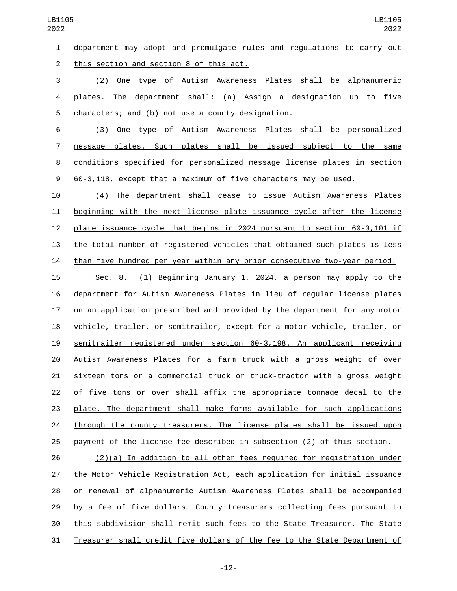department may adopt and promulgate rules and regulations to carry out 2 this section and section 8 of this act.

 (2) One type of Autism Awareness Plates shall be alphanumeric plates. The department shall: (a) Assign a designation up to five 5 characters; and (b) not use a county designation.

 (3) One type of Autism Awareness Plates shall be personalized message plates. Such plates shall be issued subject to the same conditions specified for personalized message license plates in section 60-3,118, except that a maximum of five characters may be used.

 (4) The department shall cease to issue Autism Awareness Plates beginning with the next license plate issuance cycle after the license plate issuance cycle that begins in 2024 pursuant to section 60-3,101 if the total number of registered vehicles that obtained such plates is less than five hundred per year within any prior consecutive two-year period.

 Sec. 8. (1) Beginning January 1, 2024, a person may apply to the department for Autism Awareness Plates in lieu of regular license plates on an application prescribed and provided by the department for any motor vehicle, trailer, or semitrailer, except for a motor vehicle, trailer, or semitrailer registered under section 60-3,198. An applicant receiving Autism Awareness Plates for a farm truck with a gross weight of over sixteen tons or a commercial truck or truck-tractor with a gross weight of five tons or over shall affix the appropriate tonnage decal to the plate. The department shall make forms available for such applications 24 through the county treasurers. The license plates shall be issued upon payment of the license fee described in subsection (2) of this section.

 (2)(a) In addition to all other fees required for registration under the Motor Vehicle Registration Act, each application for initial issuance or renewal of alphanumeric Autism Awareness Plates shall be accompanied by a fee of five dollars. County treasurers collecting fees pursuant to this subdivision shall remit such fees to the State Treasurer. The State Treasurer shall credit five dollars of the fee to the State Department of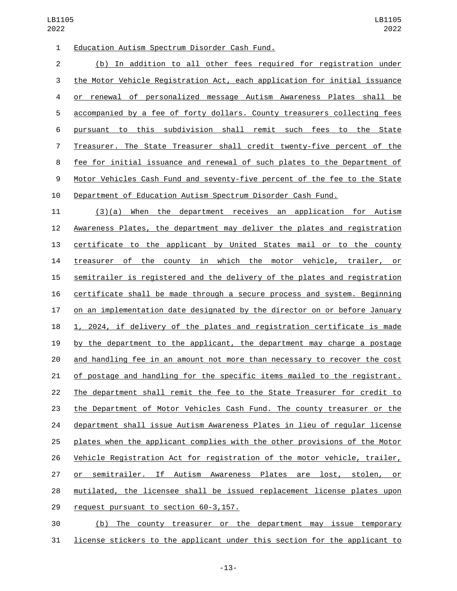1 Education Autism Spectrum Disorder Cash Fund.

 (b) In addition to all other fees required for registration under the Motor Vehicle Registration Act, each application for initial issuance or renewal of personalized message Autism Awareness Plates shall be accompanied by a fee of forty dollars. County treasurers collecting fees pursuant to this subdivision shall remit such fees to the State Treasurer. The State Treasurer shall credit twenty-five percent of the fee for initial issuance and renewal of such plates to the Department of Motor Vehicles Cash Fund and seventy-five percent of the fee to the State Department of Education Autism Spectrum Disorder Cash Fund.

 (3)(a) When the department receives an application for Autism Awareness Plates, the department may deliver the plates and registration certificate to the applicant by United States mail or to the county treasurer of the county in which the motor vehicle, trailer, or semitrailer is registered and the delivery of the plates and registration certificate shall be made through a secure process and system. Beginning on an implementation date designated by the director on or before January 1, 2024, if delivery of the plates and registration certificate is made by the department to the applicant, the department may charge a postage and handling fee in an amount not more than necessary to recover the cost of postage and handling for the specific items mailed to the registrant. The department shall remit the fee to the State Treasurer for credit to the Department of Motor Vehicles Cash Fund. The county treasurer or the department shall issue Autism Awareness Plates in lieu of regular license plates when the applicant complies with the other provisions of the Motor Vehicle Registration Act for registration of the motor vehicle, trailer, or semitrailer. If Autism Awareness Plates are lost, stolen, or mutilated, the licensee shall be issued replacement license plates upon 29 request pursuant to section 60-3,157.

 (b) The county treasurer or the department may issue temporary license stickers to the applicant under this section for the applicant to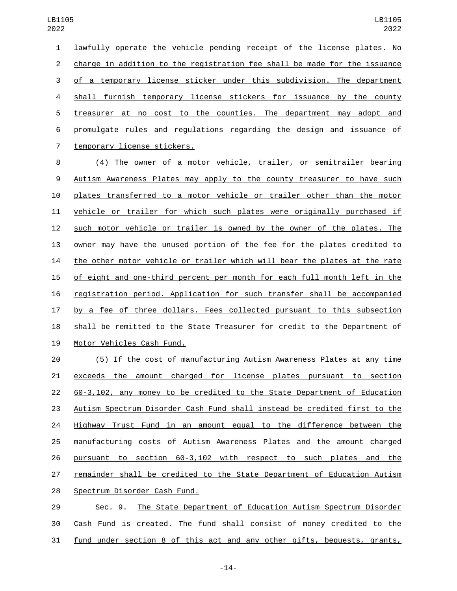lawfully operate the vehicle pending receipt of the license plates. No charge in addition to the registration fee shall be made for the issuance of a temporary license sticker under this subdivision. The department shall furnish temporary license stickers for issuance by the county treasurer at no cost to the counties. The department may adopt and promulgate rules and regulations regarding the design and issuance of 7 temporary license stickers.

 (4) The owner of a motor vehicle, trailer, or semitrailer bearing Autism Awareness Plates may apply to the county treasurer to have such plates transferred to a motor vehicle or trailer other than the motor vehicle or trailer for which such plates were originally purchased if such motor vehicle or trailer is owned by the owner of the plates. The owner may have the unused portion of the fee for the plates credited to the other motor vehicle or trailer which will bear the plates at the rate of eight and one-third percent per month for each full month left in the registration period. Application for such transfer shall be accompanied by a fee of three dollars. Fees collected pursuant to this subsection shall be remitted to the State Treasurer for credit to the Department of 19 Motor Vehicles Cash Fund.

 (5) If the cost of manufacturing Autism Awareness Plates at any time exceeds the amount charged for license plates pursuant to section 60-3,102, any money to be credited to the State Department of Education Autism Spectrum Disorder Cash Fund shall instead be credited first to the 24 Highway Trust Fund in an amount equal to the difference between the manufacturing costs of Autism Awareness Plates and the amount charged pursuant to section 60-3,102 with respect to such plates and the remainder shall be credited to the State Department of Education Autism 28 Spectrum Disorder Cash Fund.

 Sec. 9. The State Department of Education Autism Spectrum Disorder Cash Fund is created. The fund shall consist of money credited to the fund under section 8 of this act and any other gifts, bequests, grants,